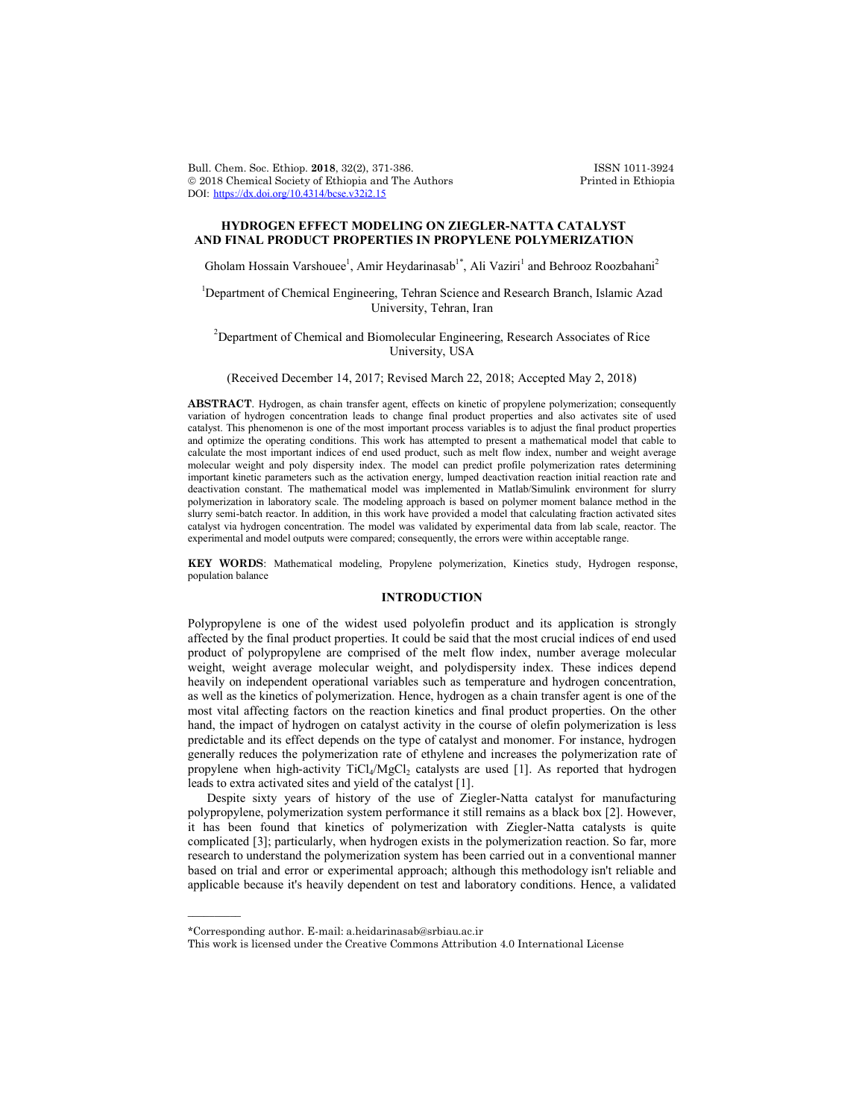Bull. Chem. Soc. Ethiop. 2018, 32(2), 371-386. ISSN 1011-3924<br>
© 2018 Chemical Society of Ethiopia and The Authors Printed in Ethiopia  $© 2018 Chemical Society of Ethiopia and The Authors$ DOI: https://dx.doi.org/10.4314/bcse.v32i2.15

# **HYDROGEN EFFECT MODELING ON ZIEGLER-NATTA CATALYST AND FINAL PRODUCT PROPERTIES IN PROPYLENE POLYMERIZATION**

Gholam Hossain Varshouee<sup>1</sup>, Amir Heydarinasab<sup>1\*</sup>, Ali Vaziri<sup>1</sup> and Behrooz Roozbahani<sup>2</sup>

<sup>1</sup>Department of Chemical Engineering, Tehran Science and Research Branch, Islamic Azad University, Tehran, Iran

# <sup>2</sup>Department of Chemical and Biomolecular Engineering, Research Associates of Rice University, USA

## (Received December 14, 2017; Revised March 22, 2018; Accepted May 2, 2018)

**ABSTRACT**. Hydrogen, as chain transfer agent, effects on kinetic of propylene polymerization; consequently variation of hydrogen concentration leads to change final product properties and also activates site of used catalyst. This phenomenon is one of the most important process variables is to adjust the final product properties and optimize the operating conditions. This work has attempted to present a mathematical model that cable to calculate the most important indices of end used product, such as melt flow index, number and weight average molecular weight and poly dispersity index. The model can predict profile polymerization rates determining important kinetic parameters such as the activation energy, lumped deactivation reaction initial reaction rate and deactivation constant. The mathematical model was implemented in Matlab/Simulink environment for slurry polymerization in laboratory scale. The modeling approach is based on polymer moment balance method in the slurry semi-batch reactor. In addition, in this work have provided a model that calculating fraction activated sites catalyst via hydrogen concentration. The model was validated by experimental data from lab scale, reactor. The experimental and model outputs were compared; consequently, the errors were within acceptable range.

**KEY WORDS**: Mathematical modeling, Propylene polymerization, Kinetics study, Hydrogen response, population balance

# **INTRODUCTION**

Polypropylene is one of the widest used polyolefin product and its application is strongly affected by the final product properties. It could be said that the most crucial indices of end used product of polypropylene are comprised of the melt flow index, number average molecular weight, weight average molecular weight, and polydispersity index. These indices depend heavily on independent operational variables such as temperature and hydrogen concentration, as well as the kinetics of polymerization. Hence, hydrogen as a chain transfer agent is one of the most vital affecting factors on the reaction kinetics and final product properties. On the other hand, the impact of hydrogen on catalyst activity in the course of olefin polymerization is less predictable and its effect depends on the type of catalyst and monomer. For instance, hydrogen generally reduces the polymerization rate of ethylene and increases the polymerization rate of propylene when high-activity TiCl<sub>4</sub>/MgCl<sub>2</sub> catalysts are used [1]. As reported that hydrogen leads to extra activated sites and yield of the catalyst [1].

Despite sixty years of history of the use of Ziegler-Natta catalyst for manufacturing polypropylene, polymerization system performance it still remains as a black box [2]. However, it has been found that kinetics of polymerization with Ziegler-Natta catalysts is quite complicated [3]; particularly, when hydrogen exists in the polymerization reaction. So far, more research to understand the polymerization system has been carried out in a conventional manner based on trial and error or experimental approach; although this methodology isn't reliable and applicable because it's heavily dependent on test and laboratory conditions. Hence, a validated

 $\overline{\phantom{a}}$ 

<sup>\*</sup>Corresponding author. E-mail: a.heidarinasab@srbiau.ac.ir

This work is licensed under the Creative Commons Attribution 4.0 International License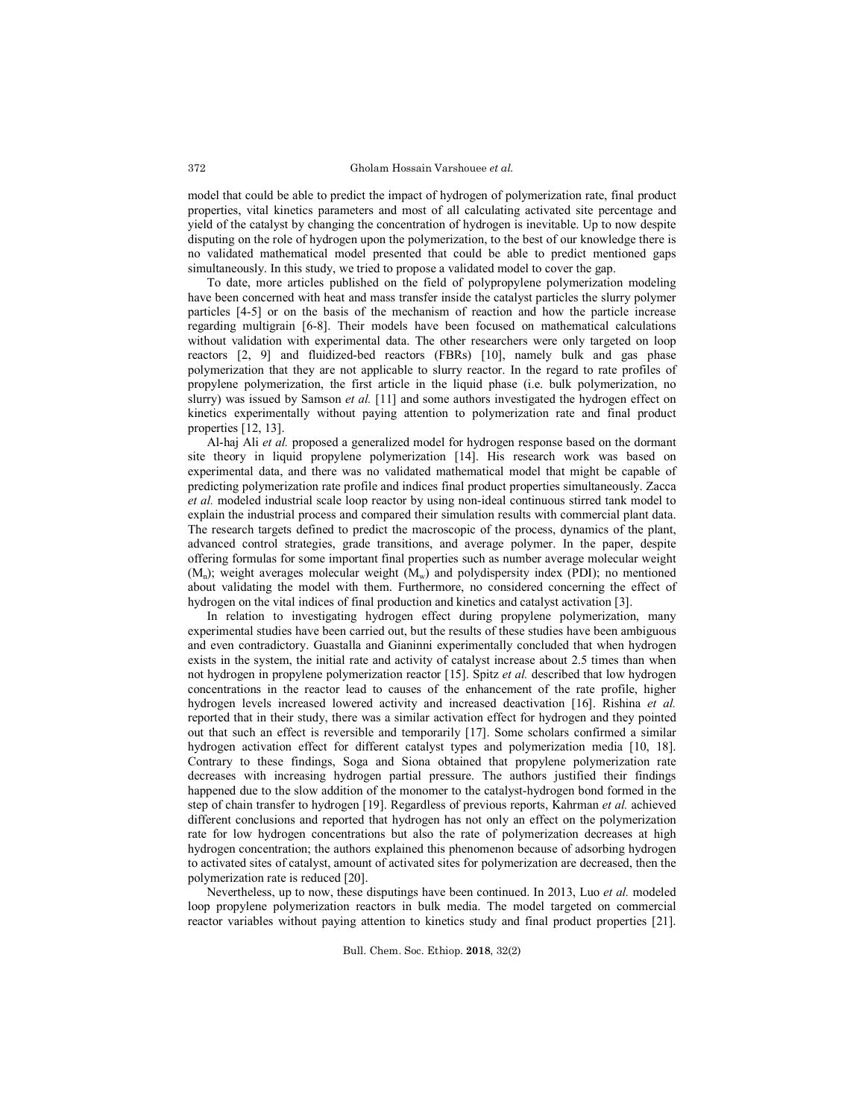model that could be able to predict the impact of hydrogen of polymerization rate, final product properties, vital kinetics parameters and most of all calculating activated site percentage and yield of the catalyst by changing the concentration of hydrogen is inevitable. Up to now despite disputing on the role of hydrogen upon the polymerization, to the best of our knowledge there is no validated mathematical model presented that could be able to predict mentioned gaps simultaneously. In this study, we tried to propose a validated model to cover the gap.

To date, more articles published on the field of polypropylene polymerization modeling have been concerned with heat and mass transfer inside the catalyst particles the slurry polymer particles [4-5] or on the basis of the mechanism of reaction and how the particle increase regarding multigrain [6-8]. Their models have been focused on mathematical calculations without validation with experimental data. The other researchers were only targeted on loop reactors [2, 9] and fluidized-bed reactors (FBRs) [10], namely bulk and gas phase polymerization that they are not applicable to slurry reactor. In the regard to rate profiles of propylene polymerization, the first article in the liquid phase (i.e. bulk polymerization, no slurry) was issued by Samson *et al.* [11] and some authors investigated the hydrogen effect on kinetics experimentally without paying attention to polymerization rate and final product properties [12, 13].

Al-haj Ali *et al.* proposed a generalized model for hydrogen response based on the dormant site theory in liquid propylene polymerization [14]. His research work was based on experimental data, and there was no validated mathematical model that might be capable of predicting polymerization rate profile and indices final product properties simultaneously. Zacca *et al.* modeled industrial scale loop reactor by using non-ideal continuous stirred tank model to explain the industrial process and compared their simulation results with commercial plant data. The research targets defined to predict the macroscopic of the process, dynamics of the plant, advanced control strategies, grade transitions, and average polymer. In the paper, despite offering formulas for some important final properties such as number average molecular weight  $(M_n)$ ; weight averages molecular weight  $(M_w)$  and polydispersity index (PDI); no mentioned about validating the model with them. Furthermore, no considered concerning the effect of hydrogen on the vital indices of final production and kinetics and catalyst activation [3].

In relation to investigating hydrogen effect during propylene polymerization, many experimental studies have been carried out, but the results of these studies have been ambiguous and even contradictory. Guastalla and Gianinni experimentally concluded that when hydrogen exists in the system, the initial rate and activity of catalyst increase about 2.5 times than when not hydrogen in propylene polymerization reactor [15]. Spitz *et al.* described that low hydrogen concentrations in the reactor lead to causes of the enhancement of the rate profile, higher hydrogen levels increased lowered activity and increased deactivation [16]. Rishina *et al.* reported that in their study, there was a similar activation effect for hydrogen and they pointed out that such an effect is reversible and temporarily [17]. Some scholars confirmed a similar hydrogen activation effect for different catalyst types and polymerization media [10, 18]. Contrary to these findings, Soga and Siona obtained that propylene polymerization rate decreases with increasing hydrogen partial pressure. The authors justified their findings happened due to the slow addition of the monomer to the catalyst-hydrogen bond formed in the step of chain transfer to hydrogen [19]. Regardless of previous reports, Kahrman *et al.* achieved different conclusions and reported that hydrogen has not only an effect on the polymerization rate for low hydrogen concentrations but also the rate of polymerization decreases at high hydrogen concentration; the authors explained this phenomenon because of adsorbing hydrogen to activated sites of catalyst, amount of activated sites for polymerization are decreased, then the polymerization rate is reduced [20].

Nevertheless, up to now, these disputings have been continued. In 2013, Luo *et al.* modeled loop propylene polymerization reactors in bulk media. The model targeted on commercial reactor variables without paying attention to kinetics study and final product properties [21].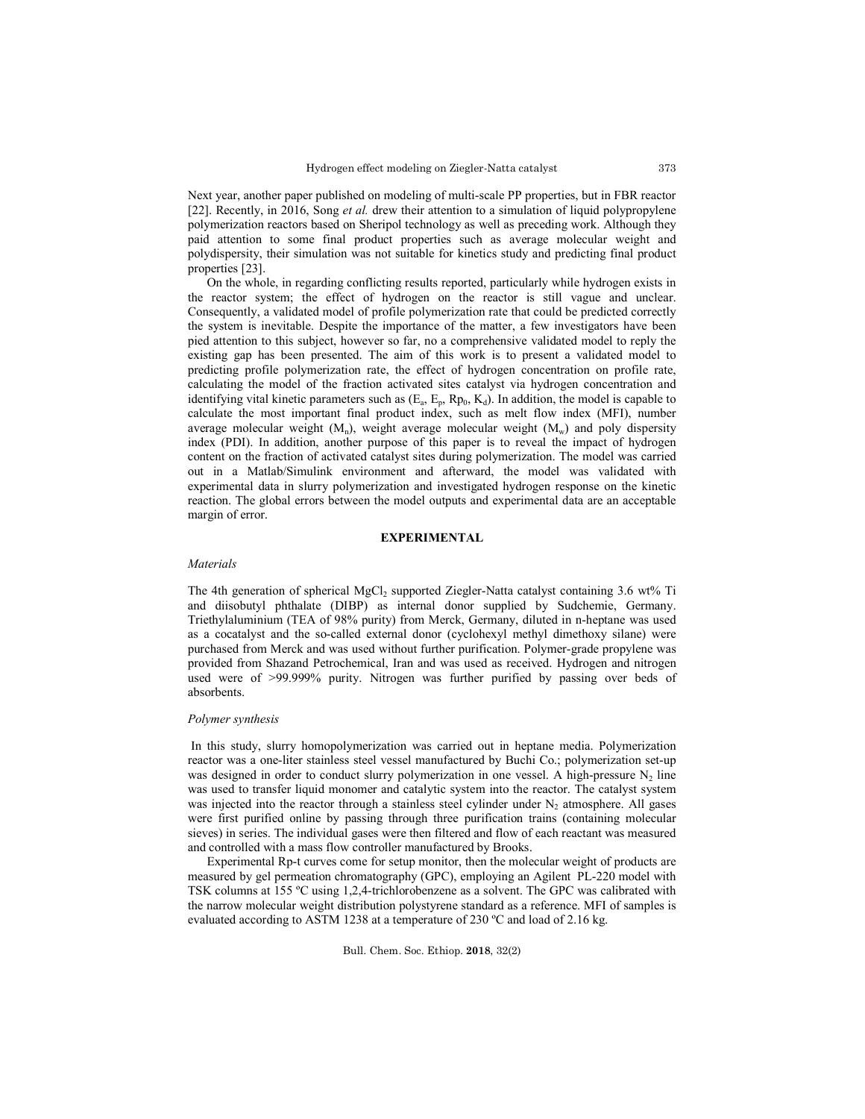Next year, another paper published on modeling of multi-scale PP properties, but in FBR reactor [22]. Recently, in 2016, Song *et al.* drew their attention to a simulation of liquid polypropylene polymerization reactors based on Sheripol technology as well as preceding work. Although they paid attention to some final product properties such as average molecular weight and polydispersity, their simulation was not suitable for kinetics study and predicting final product properties [23].

On the whole, in regarding conflicting results reported, particularly while hydrogen exists in the reactor system; the effect of hydrogen on the reactor is still vague and unclear. Consequently, a validated model of profile polymerization rate that could be predicted correctly the system is inevitable. Despite the importance of the matter, a few investigators have been pied attention to this subject, however so far, no a comprehensive validated model to reply the existing gap has been presented. The aim of this work is to present a validated model to predicting profile polymerization rate, the effect of hydrogen concentration on profile rate, calculating the model of the fraction activated sites catalyst via hydrogen concentration and identifying vital kinetic parameters such as  $(E_a, E_p, Rp_0, K_d)$ . In addition, the model is capable to calculate the most important final product index, such as melt flow index (MFI), number average molecular weight ( $M<sub>n</sub>$ ), weight average molecular weight ( $M<sub>w</sub>$ ) and poly dispersity index (PDI). In addition, another purpose of this paper is to reveal the impact of hydrogen content on the fraction of activated catalyst sites during polymerization. The model was carried out in a Matlab/Simulink environment and afterward, the model was validated with experimental data in slurry polymerization and investigated hydrogen response on the kinetic reaction. The global errors between the model outputs and experimental data are an acceptable margin of error.

## **EXPERIMENTAL**

#### *Materials*

The 4th generation of spherical MgCl<sub>2</sub> supported Ziegler-Natta catalyst containing 3.6 wt% Ti and diisobutyl phthalate (DIBP) as internal donor supplied by Sudchemie, Germany. Triethylaluminium (TEA of 98% purity) from Merck, Germany, diluted in n-heptane was used as a cocatalyst and the so-called external donor (cyclohexyl methyl dimethoxy silane) were purchased from Merck and was used without further purification. Polymer-grade propylene was provided from Shazand Petrochemical, Iran and was used as received. Hydrogen and nitrogen used were of >99.999% purity. Nitrogen was further purified by passing over beds of absorbents.

### *Polymer synthesis*

In this study, slurry homopolymerization was carried out in heptane media. Polymerization reactor was a one-liter stainless steel vessel manufactured by Buchi Co.; polymerization set-up was designed in order to conduct slurry polymerization in one vessel. A high-pressure  $N_2$  line was used to transfer liquid monomer and catalytic system into the reactor. The catalyst system was injected into the reactor through a stainless steel cylinder under  $N_2$  atmosphere. All gases were first purified online by passing through three purification trains (containing molecular sieves) in series. The individual gases were then filtered and flow of each reactant was measured and controlled with a mass flow controller manufactured by Brooks.

Experimental Rp-t curves come for setup monitor, then the molecular weight of products are measured by gel permeation chromatography (GPC), employing an Agilent PL-220 model with TSK columns at 155 ºC using 1,2,4-trichlorobenzene as a solvent. The GPC was calibrated with the narrow molecular weight distribution polystyrene standard as a reference. MFI of samples is evaluated according to ASTM 1238 at a temperature of 230  $^{\circ}$ C and load of 2.16 kg.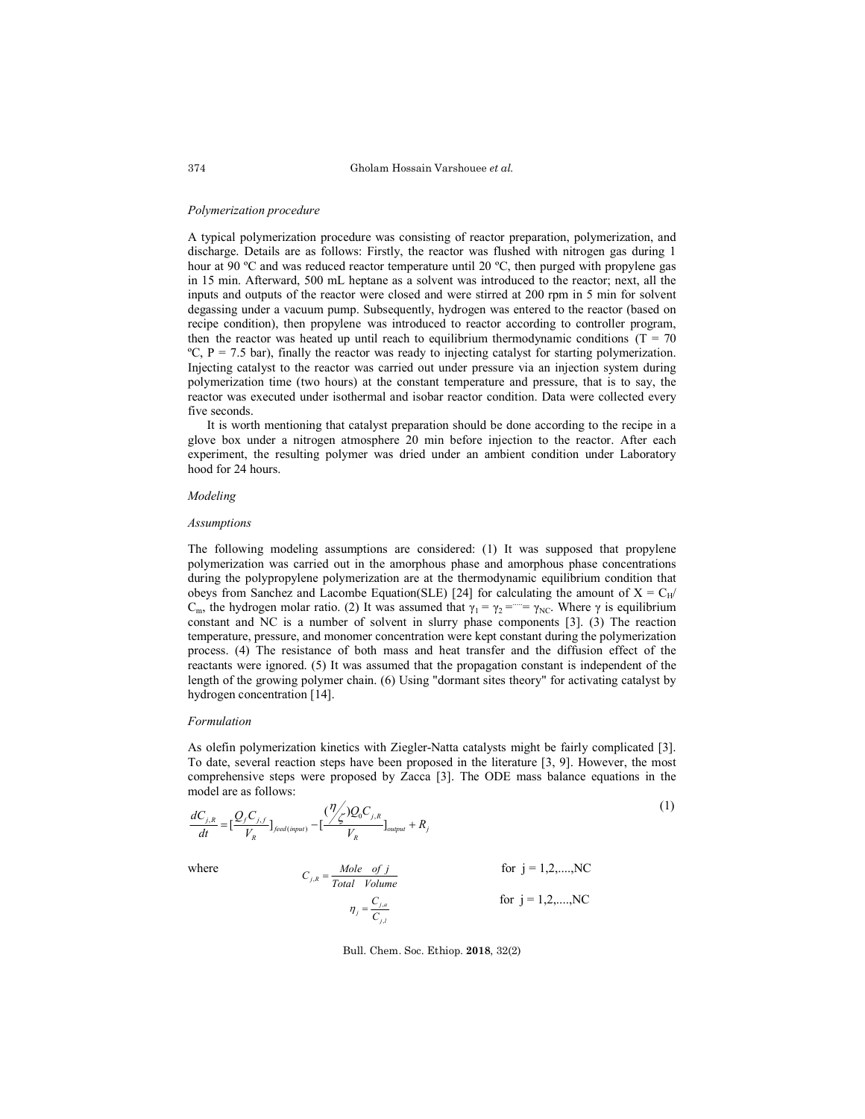## *Polymerization procedure*

A typical polymerization procedure was consisting of reactor preparation, polymerization, and discharge. Details are as follows: Firstly, the reactor was flushed with nitrogen gas during 1 hour at 90 °C and was reduced reactor temperature until 20 °C, then purged with propylene gas in 15 min. Afterward, 500 mL heptane as a solvent was introduced to the reactor; next, all the inputs and outputs of the reactor were closed and were stirred at 200 rpm in 5 min for solvent degassing under a vacuum pump. Subsequently, hydrogen was entered to the reactor (based on recipe condition), then propylene was introduced to reactor according to controller program, then the reactor was heated up until reach to equilibrium thermodynamic conditions ( $T = 70$ )  $^{\circ}$ C, P = 7.5 bar), finally the reactor was ready to injecting catalyst for starting polymerization. Injecting catalyst to the reactor was carried out under pressure via an injection system during polymerization time (two hours) at the constant temperature and pressure, that is to say, the reactor was executed under isothermal and isobar reactor condition. Data were collected every five seconds.

It is worth mentioning that catalyst preparation should be done according to the recipe in a glove box under a nitrogen atmosphere 20 min before injection to the reactor. After each experiment, the resulting polymer was dried under an ambient condition under Laboratory hood for 24 hours.

### *Modeling*

#### *Assumptions*

The following modeling assumptions are considered: (1) It was supposed that propylene polymerization was carried out in the amorphous phase and amorphous phase concentrations during the polypropylene polymerization are at the thermodynamic equilibrium condition that obeys from Sanchez and Lacombe Equation(SLE) [24] for calculating the amount of  $X = C_H$ C<sub>m</sub>, the hydrogen molar ratio. (2) It was assumed that  $\gamma_1 = \gamma_2 = \gamma_{\text{NC}}$ . Where  $\gamma$  is equilibrium constant and NC is a number of solvent in slurry phase components [3]. (3) The reaction temperature, pressure, and monomer concentration were kept constant during the polymerization process. (4) The resistance of both mass and heat transfer and the diffusion effect of the reactants were ignored. (5) It was assumed that the propagation constant is independent of the length of the growing polymer chain. (6) Using "dormant sites theory" for activating catalyst by hydrogen concentration [14].

## *Formulation*

As olefin polymerization kinetics with Ziegler-Natta catalysts might be fairly complicated [3]. To date, several reaction steps have been proposed in the literature [3, 9]. However, the most comprehensive steps were proposed by Zacca [3]. The ODE mass balance equations in the model are as follows:

$$
\frac{dC_{j,R}}{dt} = \left[\frac{Q_j C_{j,f}}{V_R}\right]_{\text{feed}(\text{input})} - \left[\frac{V_{\zeta}^2 Q_0 C_{j,R}}{V_R}\right]_{\text{output}} + R_j \tag{1}
$$

where

$$
C_{j,R} = \frac{Mole \text{ of } j}{Total \text{ Volume}}
$$
 for  $j = 1,2,...,NC$   

$$
\eta_j = \frac{C_{j,a}}{C_{j,l}}
$$
 for  $j = 1,2,...,NC$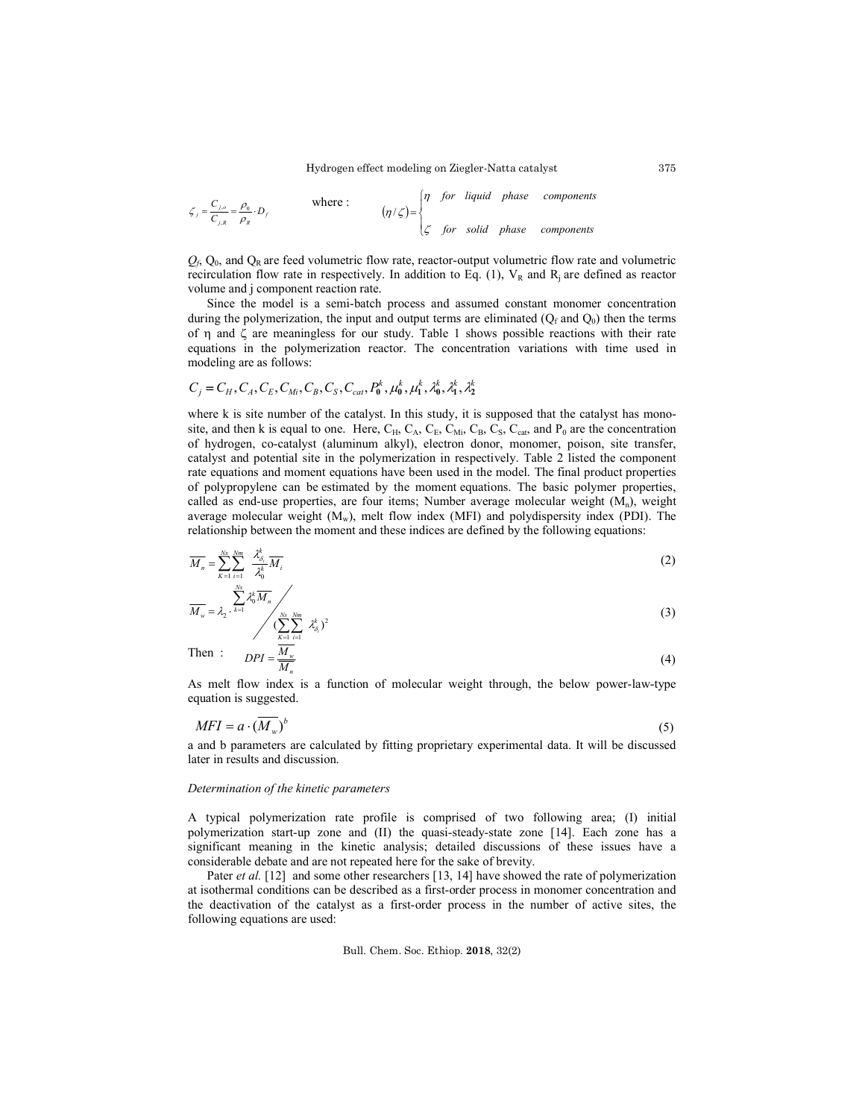$$
\zeta_j = \frac{C_{j,o}}{C_{j,R}} = \frac{\rho_0}{\rho_R} \cdot D_f
$$
 where :  $(\eta/\zeta) = \begin{cases} \eta & \text{for } l \text{ is a constant,} \\ \zeta & \text{for } \text{so lid } \text{ phase } \text{ components} \end{cases}$ 

 $Q_f$ ,  $Q_0$ , and  $Q_R$  are feed volumetric flow rate, reactor-output volumetric flow rate and volumetric recirculation flow rate in respectively. In addition to Eq. (1),  $V_R$  and  $R_i$  are defined as reactor volume and j component reaction rate.

Since the model is a semi-batch process and assumed constant monomer concentration during the polymerization, the input and output terms are eliminated  $(Q_f$  and  $Q_0)$  then the terms of  $\eta$  and  $\zeta$  are meaningless for our study. Table 1 shows possible reactions with their rate equations in the polymerization reactor. The concentration variations with time used in modeling are as follows:

$$
C_j = C_H, C_A, C_E, C_{Mi}, C_B, C_S, C_{cat}, P_0^k, \mu_0^k, \mu_1^k, \lambda_0^k, \lambda_1^k, \lambda_2^k
$$

where k is site number of the catalyst. In this study, it is supposed that the catalyst has monosite, and then k is equal to one. Here,  $C_H$ ,  $C_A$ ,  $C_E$ ,  $C_M$ ,  $C_B$ ,  $C_S$ ,  $C_{cat}$ , and  $P_0$  are the concentration of hydrogen, co-catalyst (aluminum alkyl), electron donor, monomer, poison, site transfer, catalyst and potential site in the polymerization in respectively. Table 2 listed the component rate equations and moment equations have been used in the model. The final product properties of polypropylene can be estimated by the moment equations. The basic polymer properties, called as end-use properties, are four items; Number average molecular weight  $(M_n)$ , weight average molecular weight  $(M_w)$ , melt flow index (MFI) and polydispersity index (PDI). The relationship between the moment and these indices are defined by the following equations:

$$
\overline{M}_n = \sum_{K=1}^{Ns} \sum_{i=1}^{Nm} \frac{\lambda_{\delta_i}^k}{\lambda_0^k} \overline{M}_i
$$
\n(2)

$$
\overline{M}_{w} = \lambda_{2} \cdot \sum_{k=1}^{N_{s}} \lambda_{0}^{k} \overline{M}_{n} \left( \sum_{\substack{N=1 \text{odd} \\ \text{odd } k}}^{N_{s}} \lambda_{\delta_{i}}^{k} \right)^{2}
$$
\n(3)

Then : 
$$
DPI = \frac{M_w}{M_n}
$$
 (4)

As melt flow index is a function of molecular weight through, the below power-law-type equation is suggested.

$$
MFI = a \cdot (\overline{M_w})^b \tag{5}
$$

a and b parameters are calculated by fitting proprietary experimental data. It will be discussed later in results and discussion.

### *Determination of the kinetic parameters*

A typical polymerization rate profile is comprised of two following area; (I) initial polymerization start-up zone and (II) the quasi-steady-state zone [14]. Each zone has a significant meaning in the kinetic analysis; detailed discussions of these issues have a considerable debate and are not repeated here for the sake of brevity.

Pater *et al.* [12] and some other researchers [13, 14] have showed the rate of polymerization at isothermal conditions can be described as a first-order process in monomer concentration and the deactivation of the catalyst as a first-order process in the number of active sites, the following equations are used: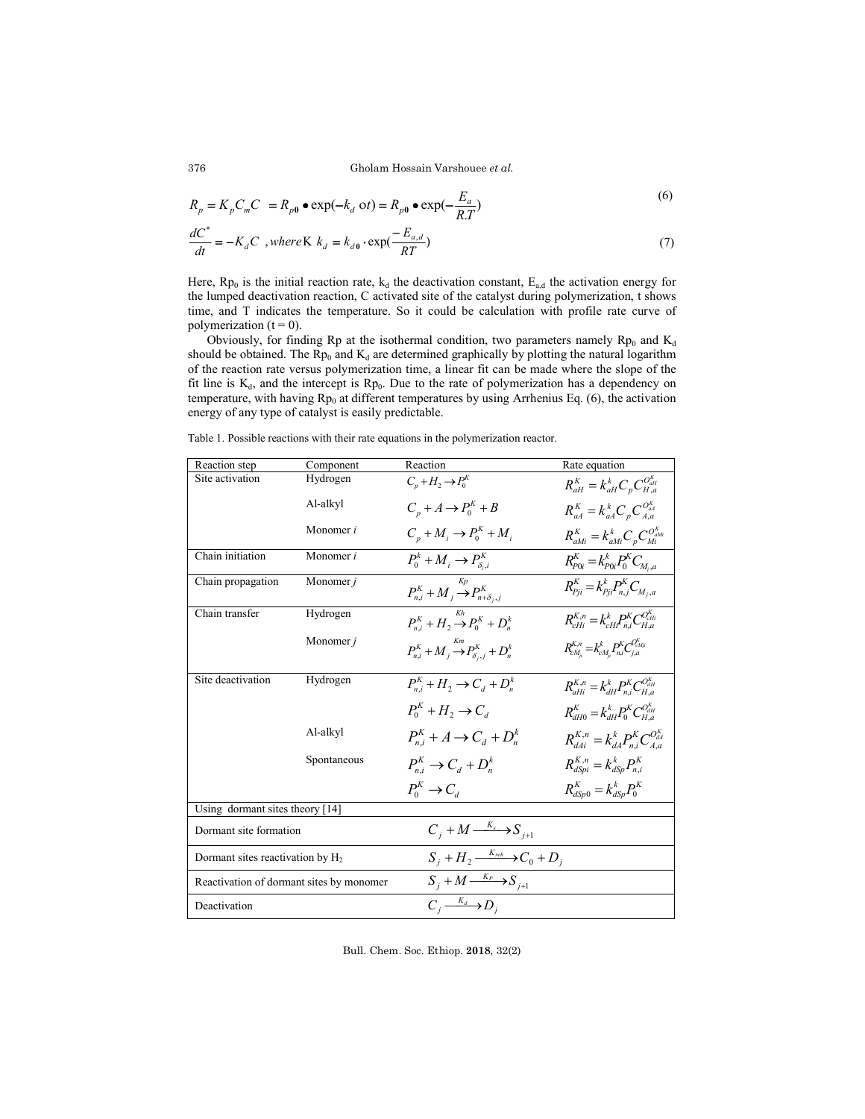$$
R_p = K_p C_n C = R_{p0} \bullet \exp(-k_d \text{ of}) = R_{p0} \bullet \exp(-\frac{E_a}{RT})
$$
\n(6)

$$
\frac{dC^*}{dt} = -K_d C \text{ , where K } k_d = k_{d0} \cdot \exp(\frac{-E_{a,d}}{RT}) \tag{7}
$$

Here,  $Rp_0$  is the initial reaction rate,  $k_d$  the deactivation constant,  $E_{a,d}$  the activation energy for the lumped deactivation reaction, C activated site of the catalyst during polymerization, t shows time, and T indicates the temperature. So it could be calculation with profile rate curve of polymerization  $(t = 0)$ .

Obviously, for finding Rp at the isothermal condition, two parameters namely  $Rp_0$  and  $K_d$ should be obtained. The  $Rp_0$  and  $K_d$  are determined graphically by plotting the natural logarithm of the reaction rate versus polymerization time, a linear fit can be made where the slope of the fit line is  $K_d$ , and the intercept is  $Rp_0$ . Due to the rate of polymerization has a dependency on temperature, with having  $Rp_0$  at different temperatures by using Arrhenius Eq. (6), the activation energy of any type of catalyst is easily predictable.

Table 1. Possible reactions with their rate equations in the polymerization reactor.

| Reaction step                            | Component   | Reaction                                                        | Rate equation                                                  |
|------------------------------------------|-------------|-----------------------------------------------------------------|----------------------------------------------------------------|
| Site activation                          | Hydrogen    | $C_n + H_2 \rightarrow P_0^K$                                   | $R_{aH}^{K} = k_{aH}^{k} C_{n} C_{H,a}^{O_{aH}^{k}}$           |
|                                          | Al-alkyl    | $C_n + A \rightarrow P_0^K + B$                                 | $R_{aA}^{K} = k_{aA}^{k} C_{n} C_{Aa}^{O_{aA}^{k}}$            |
|                                          | Monomer i   | $C_n + M_i \rightarrow P_0^K + M_i$                             | $R_{aMi}^K = k_{aMi}^k C_p C_{Mi}^{O_{aMi}^{\wedge}}$          |
| Chain initiation                         | Monomer i   | $P_0^k + M_i \rightarrow P_{\delta_{i}}^K$                      | $R_{p_{0i}}^{K} = k_{p_{0i}}^{k} P_{0}^{K} C_{M,a}$            |
| Chain propagation                        | Monomer j   | $P_{n,i}^K + M_i \stackrel{Kp}{\rightarrow} P_{n+\delta_i,j}^K$ | $R_{Pii}^K = k_{Pii}^k P_{n,i}^K C_{M_i,a}$                    |
| Chain transfer                           | Hydrogen    | $P_{ni}^K + H_2 \rightarrow P_0^K + D_n^k$                      | $R_{cHi}^{K,n} = k_{cHi}^k P_{n i}^k C_{H a}^{O_{cHi}^k}$      |
|                                          | Monomer j   | $P_{n,i}^K + M_i \rightarrow P_{\delta_{n,i}}^K + D_n^k$        | $R_{cM_u}^{K,n} = k_{cM_u}^k P_{n,i}^K C_{i,a}^{C_{cMji}}$     |
| Site deactivation                        | Hydrogen    | $P_{ni}^K + H_2 \rightarrow C_d + D_{ni}^k$                     | $R_{aHi}^{K,n} = k_{dH}^k P_{n,i}^K C_{H,a}^{O_{dH}^k}$        |
|                                          |             | $P_0^K$ + $H_2 \rightarrow C_d$                                 | $R_{dH0}^{K} = k_{dH}^{k} P_{0}^{K} C_{Hg}^{O_{dH}^{k}}$       |
|                                          | Al-alkyl    | $P_{ni}^k + A \rightarrow C_d + D_n^k$                          | $R_{dAi}^{K,n} = k_{dA}^k P_{n i}^K C_{A a}^{O_{dA}^{\kappa}}$ |
|                                          | Spontaneous | $P_{ni}^K \rightarrow C_d + D_n^k$                              | $R_{dSni}^{K,n} = k_{dSn}^k P_{n.i}^K$                         |
|                                          |             | $P_0^K \to C_d$                                                 | $R_{dSp0}^{K} = k_{dSp}^{k} P_0^{K}$                           |
| Using dormant sites theory [14]          |             |                                                                 |                                                                |
| Dormant site formation                   |             | $C_i + M \xrightarrow{K_s} S_{i+1}$                             |                                                                |
| Dormant sites reactivation by $H_2$      |             | $S_i + H_2 \xrightarrow{K_{reh}} C_0 + D_i$                     |                                                                |
| Reactivation of dormant sites by monomer |             | $S_i + M \xrightarrow{K_p} S_{i+1}$                             |                                                                |
| Deactivation                             |             | $C_i \xrightarrow{K_d} D_i$                                     |                                                                |

Bull. Chem. Soc. Ethiop. **2018**, 32(2)

376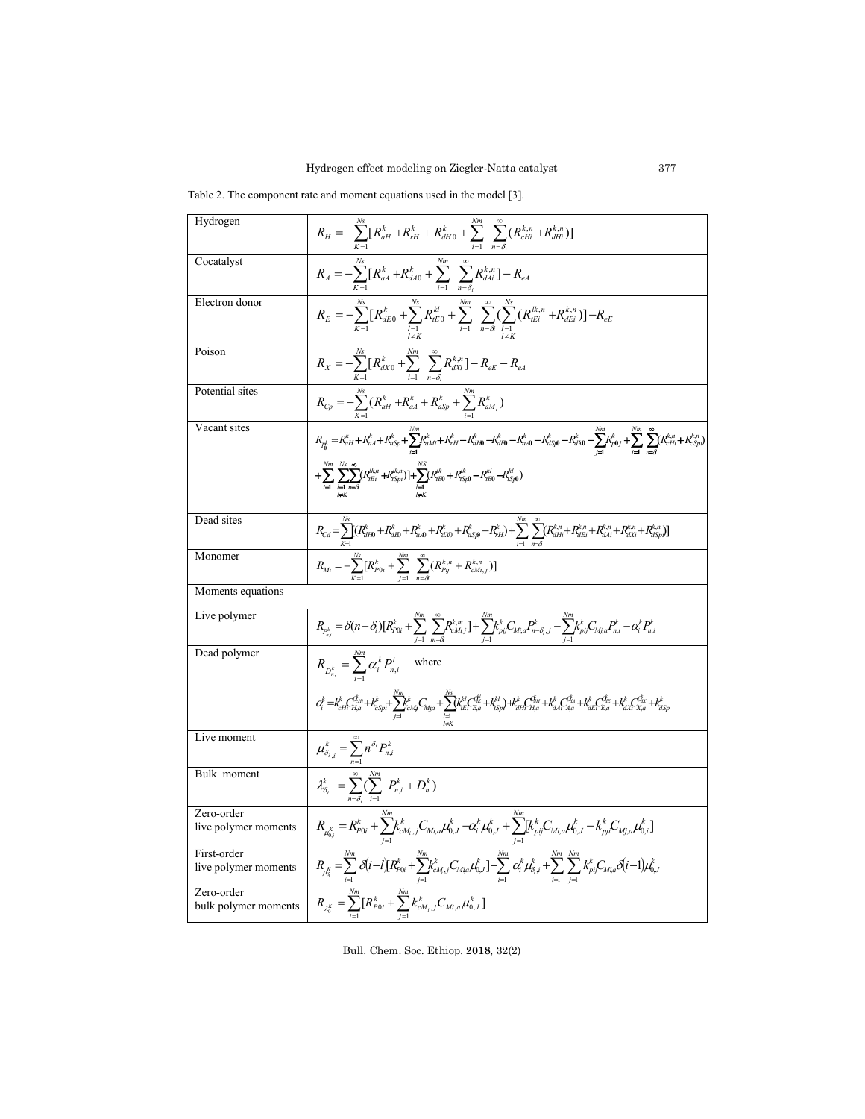Table 2. The component rate and moment equations used in the model [3].

| Hydrogen                            | $R_{H}=-\sum_{K=1}^{nx} [R_{aH}^{k}+R_{rH}^{k}+R_{dH0}^{k}+\sum_{i=1}^{Nm}\sum_{n=s}^{\infty} (R_{cHi}^{k,n}+R_{dHi}^{k,n})]$                                                                                                                                                                                                                                                                                     |
|-------------------------------------|-------------------------------------------------------------------------------------------------------------------------------------------------------------------------------------------------------------------------------------------------------------------------------------------------------------------------------------------------------------------------------------------------------------------|
| Cocatalyst                          | $R_{A} = -\sum_{n=1}^{N_{s}} [R_{aA}^{k} + R_{dA0}^{k} + \sum_{i=1}^{N m} \sum_{n=1}^{\infty} R_{dAi}^{k,n}] - R_{eA}$                                                                                                                                                                                                                                                                                            |
| Electron donor                      | $R_E = -\sum_{k=1}^{N_S} [R_{dE0}^k + \sum_{l=1}^{N_S} R_{tE0}^{kl} + \sum_{i=1}^{N_m} \sum_{n=\tilde{N}}^{\infty} (\sum_{l=1}^{N_S} (R_{tEi}^{lk,n} + R_{dEi}^{k,n})]-R_{eE}$                                                                                                                                                                                                                                    |
| Poison                              | $R_{X} = -\sum_{i=1}^{N_{S}} [R_{dX0}^{k} + \sum_{i=1}^{N_{m}} \sum_{i=1}^{\infty} R_{dXi}^{k,n}] - R_{eE} - R_{eA}$                                                                                                                                                                                                                                                                                              |
| Potential sites                     | $R_{Cp} = -\sum_{i=1}^{Ns} (R_{aH}^k + R_{aA}^k + R_{aSp}^k + \sum_{i=1}^{Nm} R_{aM_i}^k)$                                                                                                                                                                                                                                                                                                                        |
| Vacant sites                        | $R_{I_{0}^{k}} = R_{aH}^{k} + R_{aA}^{k} + R_{aSp}^{k} + \sum_{i=1}^{N_{m}} R_{aM}^{k} + R_{rH}^{k} - R_{dH0}^{k} - R_{dH0}^{k} - R_{aA0}^{k} - R_{aSp}^{k} - R_{dA0}^{k} - \sum_{i=1}^{N_{m}} R_{p0i}^{k} + \sum_{i=1}^{N_{m}} \sum_{i=1}^{\infty} (R_{cH1}^{k,n} + R_{cSp}^{k,n})$                                                                                                                              |
|                                     | $+\sum_{i=1}^{N^m}\sum_{l=1}^{N^s}\sum_{n=3}^{\infty}(R^{k,n}_{lEi}+R^{l k,n}_{lSpi})+\sum_{l=1}^{N^s}(R^{l k}_{lB0}+R^{l k}_{lSp0}-R^{k l}_{lB0}-R^{k l}_{lSp0})$                                                                                                                                                                                                                                                |
| Dead sites                          | $R_{Cd} \! = \! \sum\limits_{\mathit{K}\!=\!1}\!\! \big[R_{d\mathit{H0}}^{\mathit{k}} \! + \! R_{d\mathit{H0}}^{\mathit{k}} \! + \! R_{d\mathit{A0}}^{\mathit{k}} \! + \! R_{d\mathit{X0}}^{\mathit{k}} \! + \! R_{a\mathit{Sp}}^{\mathit{k}} \! - \! R_{\mathit{H1}}^{\mathit{k}}) \! + \! \sum\limits_{i=1}^{N m} \sum\limits_{n=3}^{\infty}\!\! \big(R_{d\mathit{H1}}^{\mathit{k},n} \! + \! R_{d\mathit{E1}}$ |
| Monomer                             | $R_{Mi} = - \sum_{\nu}^{Ns} [R_{P0i}^k + \sum_{i=1}^{Nm} \sum_{n=\tilde{n}}^{\infty} (R_{Pij}^{k,n} + R_{cMi,j}^{k,n})]$                                                                                                                                                                                                                                                                                          |
| Moments equations                   |                                                                                                                                                                                                                                                                                                                                                                                                                   |
| Live polymer                        | $R_{p_{n,i}^k} = \delta(n-\delta_i)[R_{p_{0i}}^k + \sum_{i=1}^{nm}\sum_{m=8}^{\infty} R_{cMij}^{k,m}] + \sum_{i=1}^{nm} k_{pj}^k C_{Mi,a} P_{n-\delta_i,j}^k - \sum_{i=1}^{nm} k_{pj}^k C_{Mj,a} P_{n,i}^k - \alpha_i^k P_{n,i}^k$                                                                                                                                                                                |
| Dead polymer                        | $R_{D_n^k} = \sum_{i=1}^{N} \alpha_i^k P_{n,i}^i$<br>where                                                                                                                                                                                                                                                                                                                                                        |
|                                     | $Q_1^k = I_{\rm c\mathit{H}}^k \int_{H,a}^{t_{\rm f\mathit{H}}} + I_{\rm cSpi}^k + \sum_{j=1}^{2m} I_{\rm c\mathit{M}}^k G_{{\rm f\mathit{J}g\mathit{d}}} + \sum_{l=1}^{N_S} I_{lE}^k \int_{E,a}^{C_{\rm f\mathit{H}}^l} + I_{\rm s\mathit{J}g}^k) + I_{\rm diff}^k \int_{H,a}^{t_{\rm f\mathit{H}}} + I_{\rm d\mathit{A}}^k G_{{\rm f\mathit{A}\mathit{a}}}^{T_{\rm f\mathit{L}}} +$                             |
| Live moment                         | $\mu_{\delta_{i}}^k = \sum_{i=1}^{\infty} n^{\delta_i} P_{n,i}^k$                                                                                                                                                                                                                                                                                                                                                 |
| Bulk moment                         | $\lambda^k_{\delta_i} = \sum_{n=1}^{\infty} (\sum_{n=1}^{Nm} P^k_{n,i} + D^k_n)$                                                                                                                                                                                                                                                                                                                                  |
| Zero-order<br>live polymer moments  | $R_{\mu_{0,i}^K}=R_{P0i}^k+\sum_{j=1}^{2m}k_{cM_i,j}^kC_{Mi,a}\mu_{0,j}^k-\alpha_i^k\mu_{0,J}^k+\sum_{j=1}^{2m}[k_{pj}^kC_{Mi,a}\mu_{0,J}^k-k_{pj}^kC_{Mj,a}\mu_{0,i}^k]$                                                                                                                                                                                                                                         |
| First-order<br>live polymer moments | $R_{\mu_{q}^{k}} = \sum^{Nm}_{i} \mathcal{S}(i-l)[R^{k}_{p_{0i}} + \sum^{Nm}_{i} k^{k}_{cM_{i,j}} C_{Mia} \mu^{k}_{0,J}] - \sum^{Nm}_{i=1} \alpha^{k}_{i} \mu^{k}_{\delta,i} + \sum^{Nm}_{i=1} \sum^{nm}_{i=1} k^{k}_{pj} C_{Mia} \mathcal{S}(i-l) \mu^{k}_{0,J}$                                                                                                                                                 |
| Zero-order<br>bulk polymer moments  | $R_{\lambda_0^k} = \sum_{i=1}^{N m} [R_{P0i}^k + \sum_{i=1}^{N m} k_{cM_i,j}^k C_{Mi,a} \mu_{0,J}^k]$                                                                                                                                                                                                                                                                                                             |

Bull. Chem. Soc. Ethiop. **2018**, 32(2)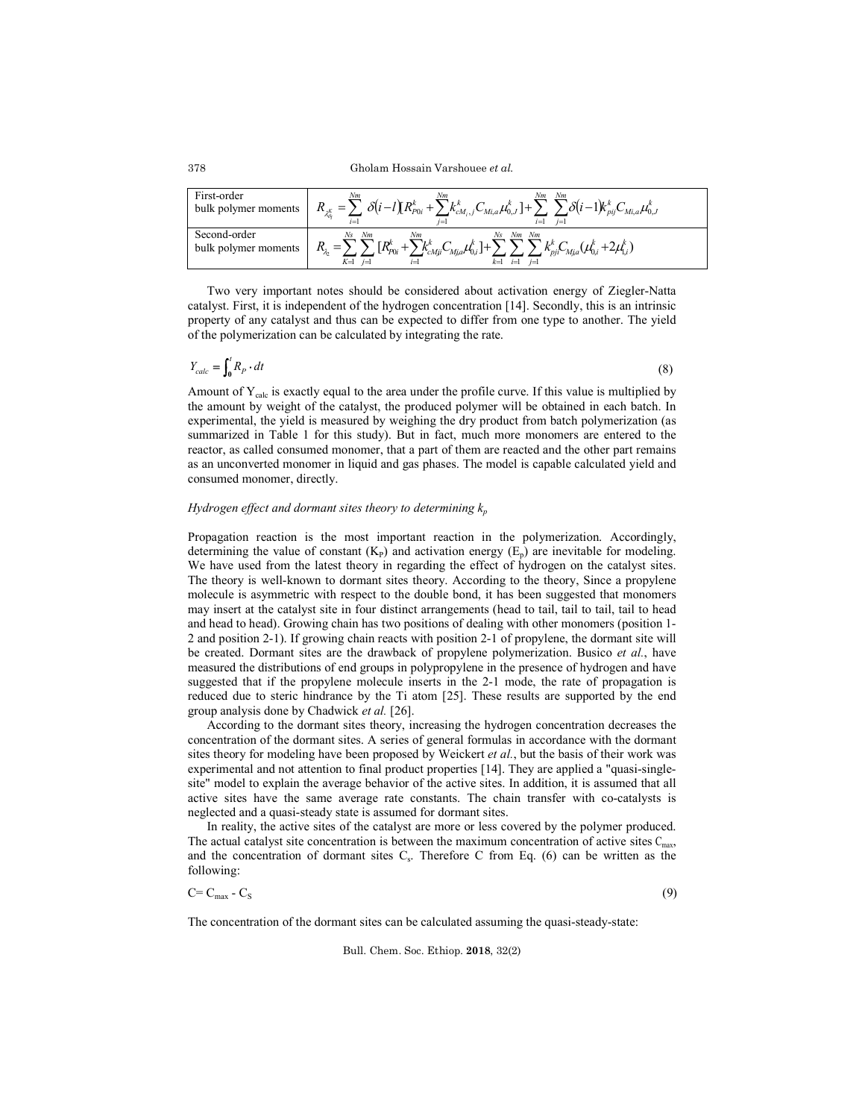| First-order<br>bulk polymer moments  | Nm<br>Nm<br>Nm<br>Nm<br>$\left[ R_{\lambda_{q_i}^k} = \sum_{i} \delta(i-l) R_{P0i}^k + \sum_{i} k_{cM_i,j}^k C_{Mi,a} \mu_{0,J}^k + \sum_{i}^{\cdots m} \sum_{j}^{\cdots m} \delta(i-l) k_{pj}^k C_{Mi,a} \mu_{0,J}^k \right]$<br>$i=1$<br>$i=1$<br>$i=1$<br>$i=1$ |
|--------------------------------------|--------------------------------------------------------------------------------------------------------------------------------------------------------------------------------------------------------------------------------------------------------------------|
| Second-order<br>bulk polymer moments | Ns Nm<br>Nm Nm<br>Ns<br>Nm<br>$R_{\lambda_2} = \sum \sum [R_{P0i}^k + \sum k_{cMji}^k C_{Mja} \mu_{0,i}^k] + \sum \sum$<br>$\sum \sum k_{pji}^k C_{Mja}(\mu_{0,i}^k + 2\mu_{1,i}^k)$<br>$K=1$ $i=1$<br>$i=1$<br>$k=1$<br>$i=1$<br>$i=1$                            |

Two very important notes should be considered about activation energy of Ziegler-Natta catalyst. First, it is independent of the hydrogen concentration [14]. Secondly, this is an intrinsic property of any catalyst and thus can be expected to differ from one type to another. The yield of the polymerization can be calculated by integrating the rate.

$$
Y_{calc} = \int_0^t R_P \cdot dt \tag{8}
$$

Amount of  $Y_{\text{calc}}$  is exactly equal to the area under the profile curve. If this value is multiplied by the amount by weight of the catalyst, the produced polymer will be obtained in each batch. In experimental, the yield is measured by weighing the dry product from batch polymerization (as summarized in Table 1 for this study). But in fact, much more monomers are entered to the reactor, as called consumed monomer, that a part of them are reacted and the other part remains as an unconverted monomer in liquid and gas phases. The model is capable calculated yield and consumed monomer, directly.

### *Hydrogen effect and dormant sites theory to determining*  $k_p$

Propagation reaction is the most important reaction in the polymerization. Accordingly, determining the value of constant  $(K_P)$  and activation energy  $(E_p)$  are inevitable for modeling. We have used from the latest theory in regarding the effect of hydrogen on the catalyst sites. The theory is well-known to dormant sites theory. According to the theory, Since a propylene molecule is asymmetric with respect to the double bond, it has been suggested that monomers may insert at the catalyst site in four distinct arrangements (head to tail, tail to tail, tail to head and head to head). Growing chain has two positions of dealing with other monomers (position 1- 2 and position 2-1). If growing chain reacts with position 2-1 of propylene, the dormant site will be created. Dormant sites are the drawback of propylene polymerization. Busico *et al.*, have measured the distributions of end groups in polypropylene in the presence of hydrogen and have suggested that if the propylene molecule inserts in the 2-1 mode, the rate of propagation is reduced due to steric hindrance by the Ti atom [25]. These results are supported by the end group analysis done by Chadwick *et al.* [26].

According to the dormant sites theory, increasing the hydrogen concentration decreases the concentration of the dormant sites. A series of general formulas in accordance with the dormant sites theory for modeling have been proposed by Weickert *et al.*, but the basis of their work was experimental and not attention to final product properties [14]. They are applied a "quasi-singlesite" model to explain the average behavior of the active sites. In addition, it is assumed that all active sites have the same average rate constants. The chain transfer with co-catalysts is neglected and a quasi-steady state is assumed for dormant sites.

In reality, the active sites of the catalyst are more or less covered by the polymer produced. The actual catalyst site concentration is between the maximum concentration of active sites  $C_{\text{max}}$ , and the concentration of dormant sites  $C_s$ . Therefore C from Eq. (6) can be written as the following:

 $C = C_{\text{max}} - C_{\text{S}}$  (9)

The concentration of the dormant sites can be calculated assuming the quasi-steady-state:

Bull. Chem. Soc. Ethiop. **2018**, 32(2)

378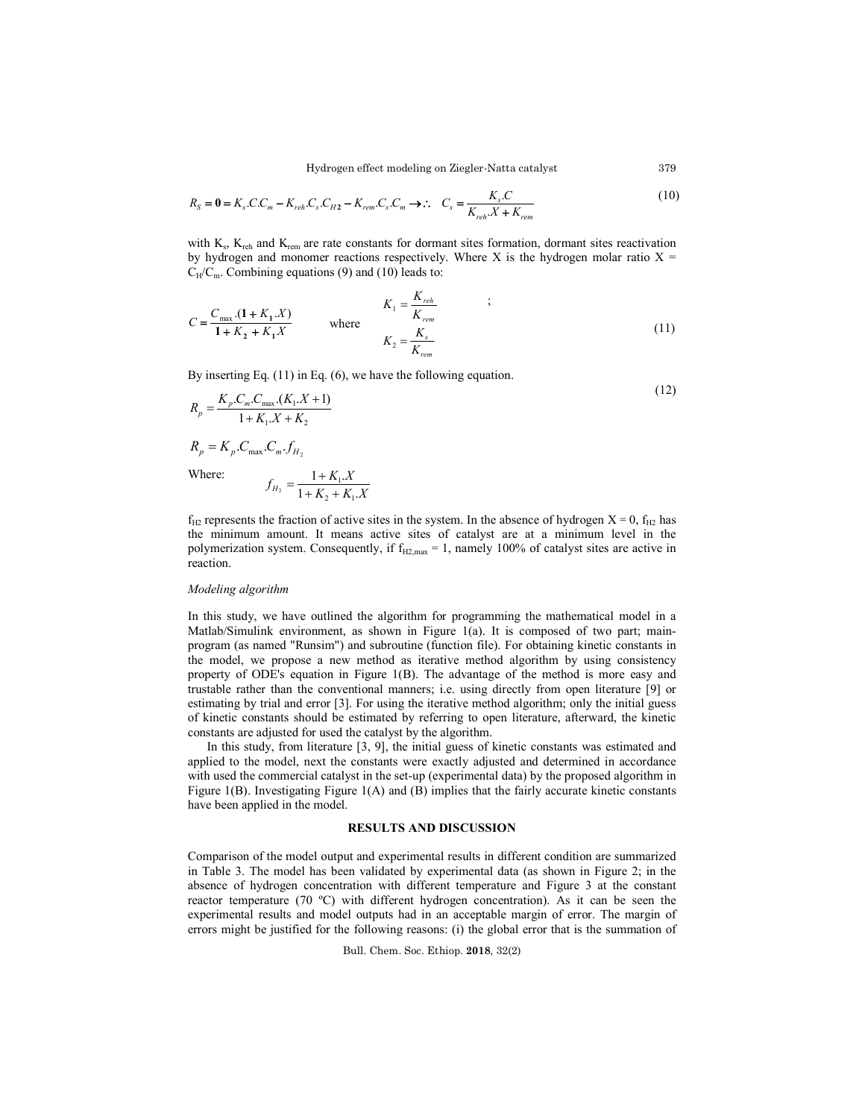$$
R_{S} = \mathbf{0} = K_{s}.C.C_{m} - K_{reh}.C_{s}.C_{H2} - K_{rem}.C_{s}.C_{m} \to \therefore C_{s} = \frac{K_{s}.C}{K_{reh}.X + K_{rem}}
$$
(10)

with  $K_{\rm s}$ ,  $K_{\rm reh}$  and  $K_{\rm rem}$  are rate constants for dormant sites formation, dormant sites reactivation by hydrogen and monomer reactions respectively. Where X is the hydrogen molar ratio  $X =$  $C_H/C_m$ . Combining equations (9) and (10) leads to:

$$
C = \frac{C_{\text{max}} \cdot (1 + K_1 \cdot X)}{1 + K_2 + K_1 X} \quad \text{where} \quad\n\begin{aligned}\nK_1 &= \frac{K_{\text{reh}}}{K_{\text{rem}}} \\
K_2 &= \frac{K_s}{K_{\text{rem}}} \\
\end{aligned}\n\tag{11}
$$

By inserting Eq. (11) in Eq. (6), we have the following equation.

$$
R_p = \frac{K_p.C_m.C_{\text{max}}.(K_1.X + 1)}{1 + K_1.X + K_2}
$$
\n(12)

 $R_p = K_p \cdot C_{\text{max}} \cdot C_m \cdot f_{H_2}$ 

Where:

$$
f_{H_2} = \frac{1 + K_1 X}{1 + K_2 + K_1 X}
$$

 $f_{H2}$  represents the fraction of active sites in the system. In the absence of hydrogen  $X = 0$ ,  $f_{H2}$  has the minimum amount. It means active sites of catalyst are at a minimum level in the polymerization system. Consequently, if  $f_{H2,max} = 1$ , namely 100% of catalyst sites are active in reaction.

## *Modeling algorithm*

In this study, we have outlined the algorithm for programming the mathematical model in a Matlab/Simulink environment, as shown in Figure 1(a). It is composed of two part; mainprogram (as named "Runsim") and subroutine (function file). For obtaining kinetic constants in the model, we propose a new method as iterative method algorithm by using consistency property of ODE's equation in Figure 1(B). The advantage of the method is more easy and trustable rather than the conventional manners; i.e. using directly from open literature [9] or estimating by trial and error [3]. For using the iterative method algorithm; only the initial guess of kinetic constants should be estimated by referring to open literature, afterward, the kinetic constants are adjusted for used the catalyst by the algorithm.

In this study, from literature [3, 9], the initial guess of kinetic constants was estimated and applied to the model, next the constants were exactly adjusted and determined in accordance with used the commercial catalyst in the set-up (experimental data) by the proposed algorithm in Figure 1(B). Investigating Figure 1(A) and  $(B)$  implies that the fairly accurate kinetic constants have been applied in the model.

### **RESULTS AND DISCUSSION**

Comparison of the model output and experimental results in different condition are summarized in Table 3. The model has been validated by experimental data (as shown in Figure 2; in the absence of hydrogen concentration with different temperature and Figure 3 at the constant reactor temperature (70 ºC) with different hydrogen concentration). As it can be seen the experimental results and model outputs had in an acceptable margin of error. The margin of errors might be justified for the following reasons: (i) the global error that is the summation of

Bull. Chem. Soc. Ethiop. **2018**, 32(2)

 $(12)$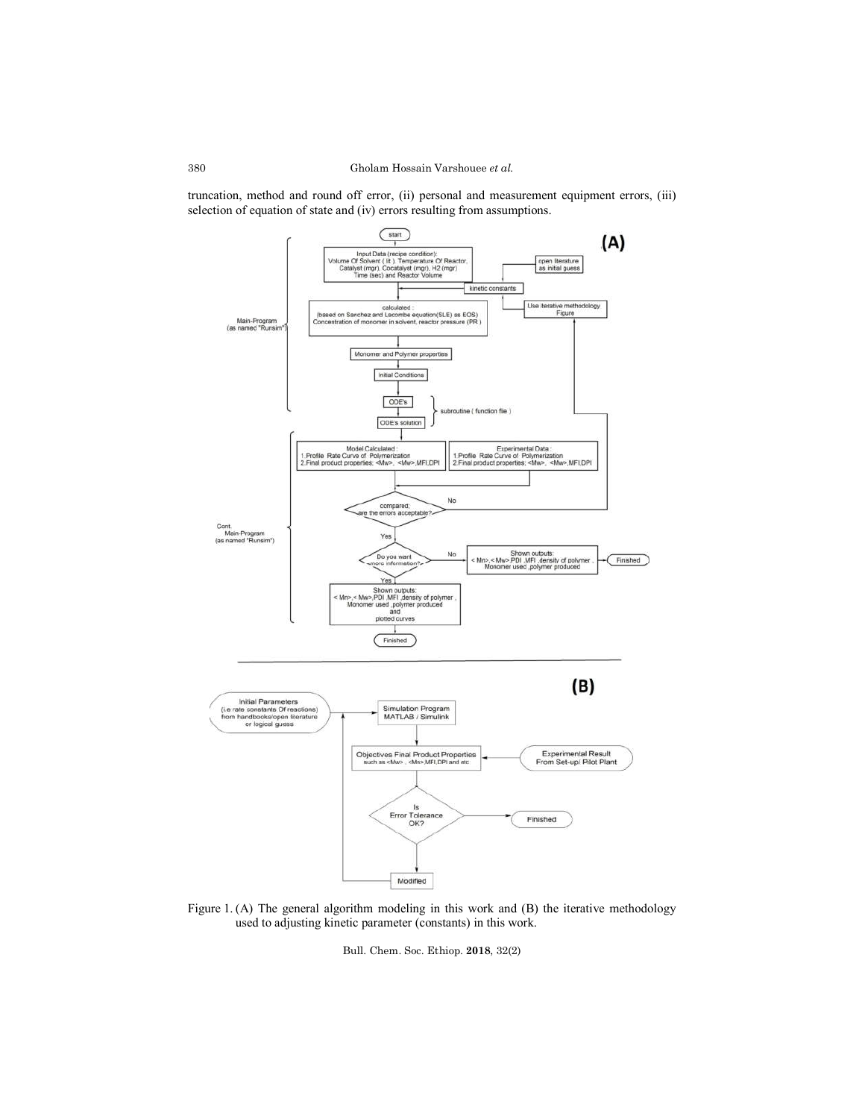



Figure 1. (A) The general algorithm modeling in this work and (B) the iterative methodology used to adjusting kinetic parameter (constants) in this work.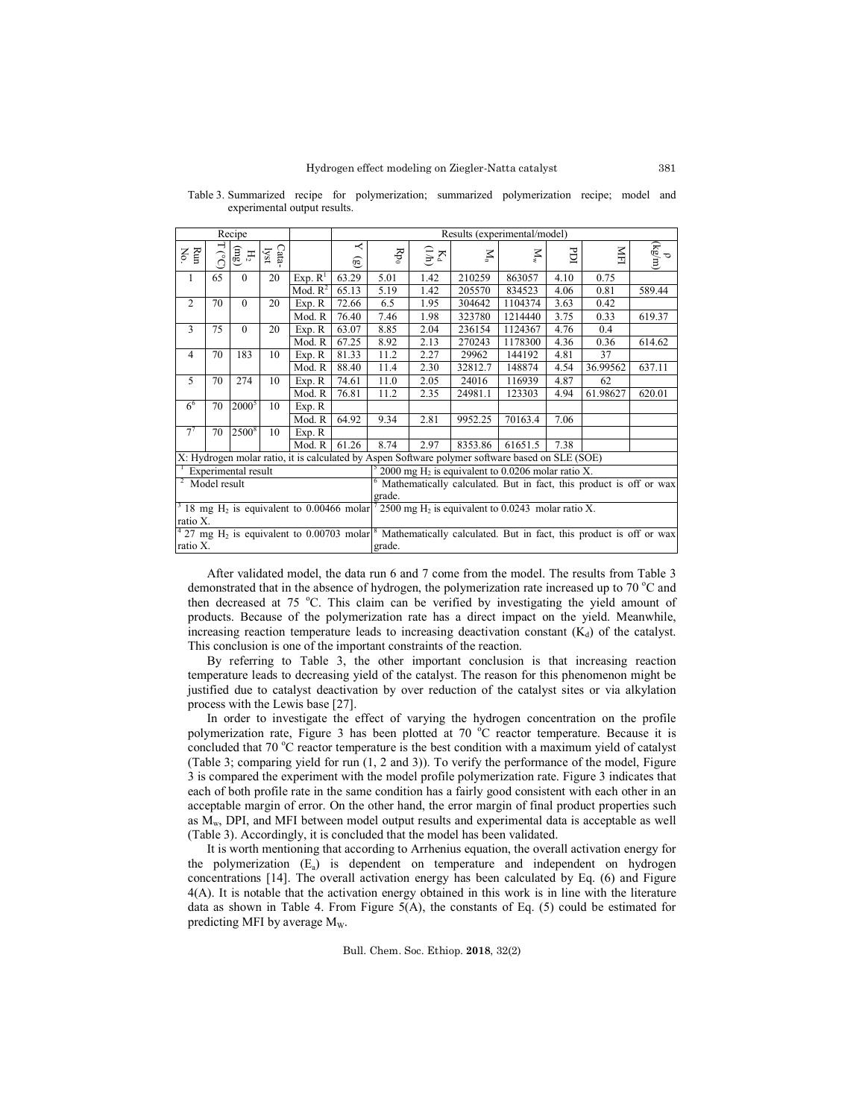| Recipe                    |                    |                     |                                                                    |                                                                                                                                                          | Results (experimental/model)                                                                                                           |            |                                                                                                 |                      |                |            |          |                        |
|---------------------------|--------------------|---------------------|--------------------------------------------------------------------|----------------------------------------------------------------------------------------------------------------------------------------------------------|----------------------------------------------------------------------------------------------------------------------------------------|------------|-------------------------------------------------------------------------------------------------|----------------------|----------------|------------|----------|------------------------|
| $_{\rm No}^{\rm B}$       | $\widehat{\Omega}$ | $\mathbb{H}_2$ (mg) | $\rm Cart}$                                                        |                                                                                                                                                          | ≺<br>ত                                                                                                                                 | $\rm Rp_0$ | $\mathbb{E}_{\widetilde{\mathbb{E}}}$                                                           | $\mathbf{X}_{\rm n}$ | $\mathbf{N}^*$ | <b>PDI</b> | NEI      | $\frac{\rho}{(k g/m)}$ |
| 1                         | 65                 | $\Omega$            | 20                                                                 | Exp. R <sup>1</sup>                                                                                                                                      | 63.29                                                                                                                                  | 5.01       | 1.42                                                                                            | 210259               | 863057         | 4.10       | 0.75     |                        |
|                           |                    |                     |                                                                    | Mod. $R^2$                                                                                                                                               | 65.13                                                                                                                                  | 5.19       | 1.42                                                                                            | 205570               | 834523         | 4.06       | 0.81     | 589.44                 |
| $\overline{c}$            | 70                 | $\theta$            | 20                                                                 | Exp. R                                                                                                                                                   | 72.66                                                                                                                                  | 6.5        | 1.95                                                                                            | 304642               | 1104374        | 3.63       | 0.42     |                        |
|                           |                    |                     |                                                                    | Mod. R                                                                                                                                                   | 76.40                                                                                                                                  | 7.46       | 1.98                                                                                            | 323780               | 1214440        | 3.75       | 0.33     | 619.37                 |
| 3                         | 75                 | $\theta$            | 20                                                                 | Exp. R                                                                                                                                                   | 63.07                                                                                                                                  | 8.85       | 2.04                                                                                            | 236154               | 1124367        | 4.76       | 0.4      |                        |
|                           |                    |                     |                                                                    | Mod. R                                                                                                                                                   | 67.25                                                                                                                                  | 8.92       | 2.13                                                                                            | 270243               | 1178300        | 4.36       | 0.36     | 614.62                 |
| 4                         | 70                 | 183                 | 10                                                                 | Exp. R                                                                                                                                                   | 81.33                                                                                                                                  | 11.2       | 2.27                                                                                            | 29962                | 144192         | 4.81       | 37       |                        |
|                           |                    |                     |                                                                    | Mod. R                                                                                                                                                   | 88.40                                                                                                                                  | 11.4       | 2.30                                                                                            | 32812.7              | 148874         | 4.54       | 36.99562 | 637.11                 |
| 5                         | 70                 | 274                 | 10                                                                 | Exp. R                                                                                                                                                   | 74.61                                                                                                                                  | 11.0       | 2.05                                                                                            | 24016                | 116939         | 4.87       | 62       |                        |
|                           |                    |                     |                                                                    | Mod. R                                                                                                                                                   | 76.81                                                                                                                                  | 11.2       | 2.35                                                                                            | 24981.1              | 123303         | 4.94       | 61.98627 | 620.01                 |
| 6 <sup>6</sup>            | 70                 | $2000^5$            | 10                                                                 | Exp. R                                                                                                                                                   |                                                                                                                                        |            |                                                                                                 |                      |                |            |          |                        |
|                           |                    |                     |                                                                    | Mod. R                                                                                                                                                   | 64.92                                                                                                                                  | 9.34       | 2.81                                                                                            | 9952.25              | 70163.4        | 7.06       |          |                        |
| 7 <sup>7</sup>            | 70                 | $2500^8$            | 10                                                                 | Exp. R                                                                                                                                                   |                                                                                                                                        |            |                                                                                                 |                      |                |            |          |                        |
|                           |                    |                     |                                                                    | Mod. R                                                                                                                                                   | 61.26                                                                                                                                  | 8.74       | 2.97                                                                                            | 8353.86              | 61651.5        | 7.38       |          |                        |
|                           |                    |                     |                                                                    |                                                                                                                                                          |                                                                                                                                        |            | X: Hydrogen molar ratio, it is calculated by Aspen Software polymer software based on SLE (SOE) |                      |                |            |          |                        |
| Experimental result       |                    |                     | $^5$ 2000 mg H <sub>2</sub> is equivalent to 0.0206 molar ratio X. |                                                                                                                                                          |                                                                                                                                        |            |                                                                                                 |                      |                |            |          |                        |
| <sup>2</sup> Model result |                    |                     | Mathematically calculated. But in fact, this product is off or wax |                                                                                                                                                          |                                                                                                                                        |            |                                                                                                 |                      |                |            |          |                        |
|                           |                    | grade.              |                                                                    |                                                                                                                                                          |                                                                                                                                        |            |                                                                                                 |                      |                |            |          |                        |
|                           |                    |                     |                                                                    | <sup>3</sup> 18 mg H <sub>2</sub> is equivalent to 0.00466 molar <sup><math>7</math></sup> 2500 mg H <sub>2</sub> is equivalent to 0.0243 molar ratio X. |                                                                                                                                        |            |                                                                                                 |                      |                |            |          |                        |
| ratio X.                  |                    |                     |                                                                    |                                                                                                                                                          |                                                                                                                                        |            |                                                                                                 |                      |                |            |          |                        |
|                           |                    |                     |                                                                    |                                                                                                                                                          | $427$ mg H <sub>2</sub> is equivalent to 0.00703 molar <sup>8</sup> Mathematically calculated. But in fact, this product is off or wax |            |                                                                                                 |                      |                |            |          |                        |
| ratio X.                  |                    |                     | grade.                                                             |                                                                                                                                                          |                                                                                                                                        |            |                                                                                                 |                      |                |            |          |                        |

Table 3. Summarized recipe for polymerization; summarized polymerization recipe; model and experimental output results.

After validated model, the data run 6 and 7 come from the model. The results from Table 3 demonstrated that in the absence of hydrogen, the polymerization rate increased up to 70  $^{\circ}$ C and then decreased at 75 °C. This claim can be verified by investigating the yield amount of products. Because of the polymerization rate has a direct impact on the yield. Meanwhile, increasing reaction temperature leads to increasing deactivation constant  $(K_d)$  of the catalyst. This conclusion is one of the important constraints of the reaction.

By referring to Table 3, the other important conclusion is that increasing reaction temperature leads to decreasing yield of the catalyst. The reason for this phenomenon might be justified due to catalyst deactivation by over reduction of the catalyst sites or via alkylation process with the Lewis base [27].

In order to investigate the effect of varying the hydrogen concentration on the profile polymerization rate, Figure 3 has been plotted at 70 °C reactor temperature. Because it is concluded that 70 °C reactor temperature is the best condition with a maximum yield of catalyst (Table 3; comparing yield for run (1, 2 and 3)). To verify the performance of the model, Figure 3 is compared the experiment with the model profile polymerization rate. Figure 3 indicates that each of both profile rate in the same condition has a fairly good consistent with each other in an acceptable margin of error. On the other hand, the error margin of final product properties such as  $M_{w}$ , DPI, and MFI between model output results and experimental data is acceptable as well (Table 3). Accordingly, it is concluded that the model has been validated.

It is worth mentioning that according to Arrhenius equation, the overall activation energy for the polymerization  $(E_a)$  is dependent on temperature and independent on hydrogen concentrations [14]. The overall activation energy has been calculated by Eq. (6) and Figure 4(A). It is notable that the activation energy obtained in this work is in line with the literature data as shown in Table 4. From Figure  $5(A)$ , the constants of Eq. (5) could be estimated for predicting MFI by average  $M_w$ .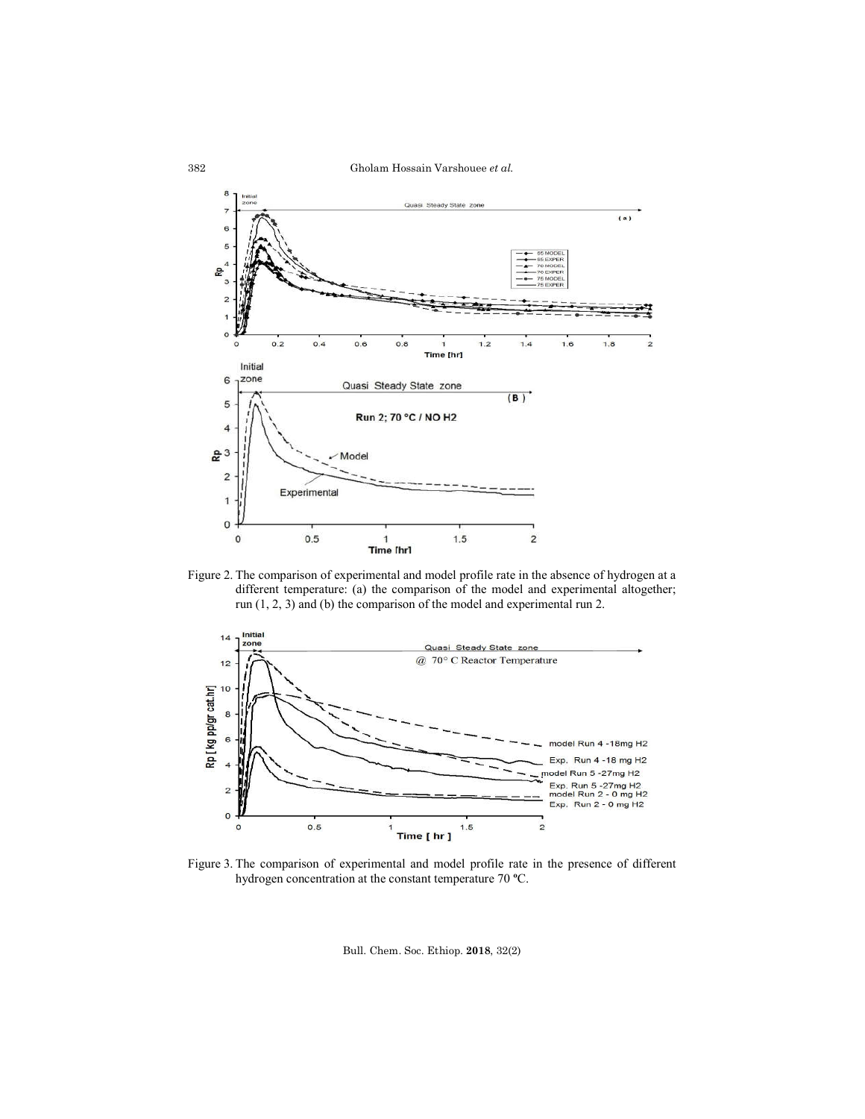

Figure 2. The comparison of experimental and model profile rate in the absence of hydrogen at a different temperature: (a) the comparison of the model and experimental altogether; run (1, 2, 3) and (b) the comparison of the model and experimental run 2.



Figure 3. The comparison of experimental and model profile rate in the presence of different hydrogen concentration at the constant temperature 70 **º**C.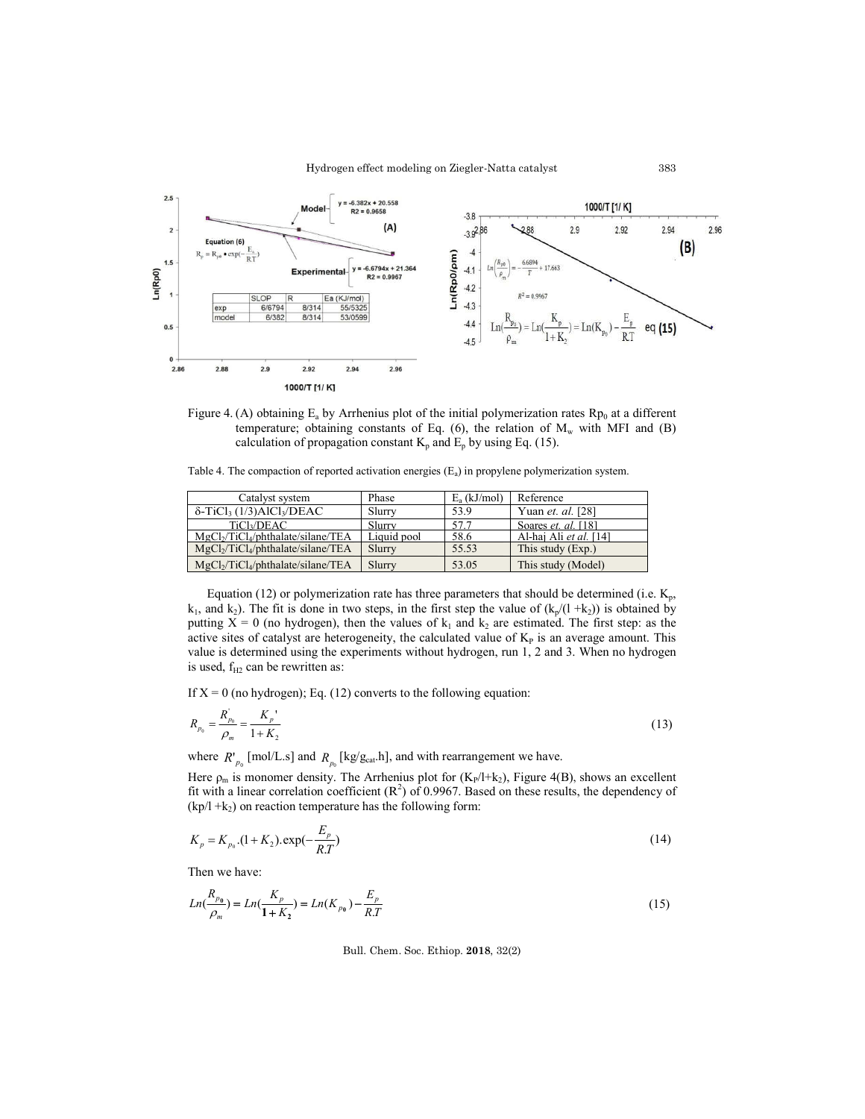

Figure 4. (A) obtaining  $E_a$  by Arrhenius plot of the initial polymerization rates  $Rp_0$  at a different temperature; obtaining constants of Eq.  $(6)$ , the relation of  $M_w$  with MFI and  $(B)$ calculation of propagation constant  $K_p$  and  $E_p$  by using Eq. (15).

Table 4. The compaction of reported activation energies  $(E_a)$  in propylene polymerization system.

| Catalyst system                                            | Phase       | $E_a$ (kJ/mol) | Reference              |
|------------------------------------------------------------|-------------|----------------|------------------------|
| $\delta$ -TiCl <sub>3</sub> (1/3)AlCl <sub>3</sub> /DEAC   | Slurry      | 53.9           | Yuan et. al. [28]      |
| <b>TiCl</b> <sub>2</sub> /DEAC                             | Slurry      | 57.7           | Soares et. al. [18]    |
| $MgCl2/TiCl4/phthalate/silane/TEA$                         | Liquid pool | 58.6           | Al-haj Ali et al. [14] |
| $MgCl2/TiCl4/phthalate/silane/TEA$                         | Slurry      | 55.53          | This study (Exp.)      |
| MgCl <sub>2</sub> /TiCl <sub>4</sub> /phthalate/silane/TEA | Slurry      | 53.05          | This study (Model)     |

Equation (12) or polymerization rate has three parameters that should be determined (i.e.  $K_p$ ,  $k_1$ , and  $k_2$ ). The fit is done in two steps, in the first step the value of  $(k_p/(1 + k_2))$  is obtained by putting  $X = 0$  (no hydrogen), then the values of  $k_1$  and  $k_2$  are estimated. The first step: as the active sites of catalyst are heterogeneity, the calculated value of  $K<sub>P</sub>$  is an average amount. This value is determined using the experiments without hydrogen, run 1, 2 and 3. When no hydrogen is used,  $f_{H2}$  can be rewritten as:

If  $X = 0$  (no hydrogen); Eq. (12) converts to the following equation:

$$
R_{p_0} = \frac{R_{p_0}'}{\rho_m} = \frac{K_p'}{1 + K_2} \tag{13}
$$

where  $R'_{p_0}$  [mol/L.s] and  $R_{p_0}$  [kg/g<sub>cat</sub>.h], and with rearrangement we have.

Here  $\rho_m$  is monomer density. The Arrhenius plot for  $(K_P/I+k_2)$ , Figure 4(B), shows an excellent fit with a linear correlation coefficient  $(R^2)$  of 0.9967. Based on these results, the dependency of  $(kp/l + k<sub>2</sub>)$  on reaction temperature has the following form:

$$
K_p = K_{p_0} \cdot (1 + K_2) \cdot \exp(-\frac{E_p}{R \cdot T})
$$
\n(14)

Then we have:

$$
Ln(\frac{R_{p_0}}{\rho_m}) = Ln(\frac{K_p}{1 + K_2}) = Ln(K_{p_0}) - \frac{E_p}{RT}
$$
\n(15)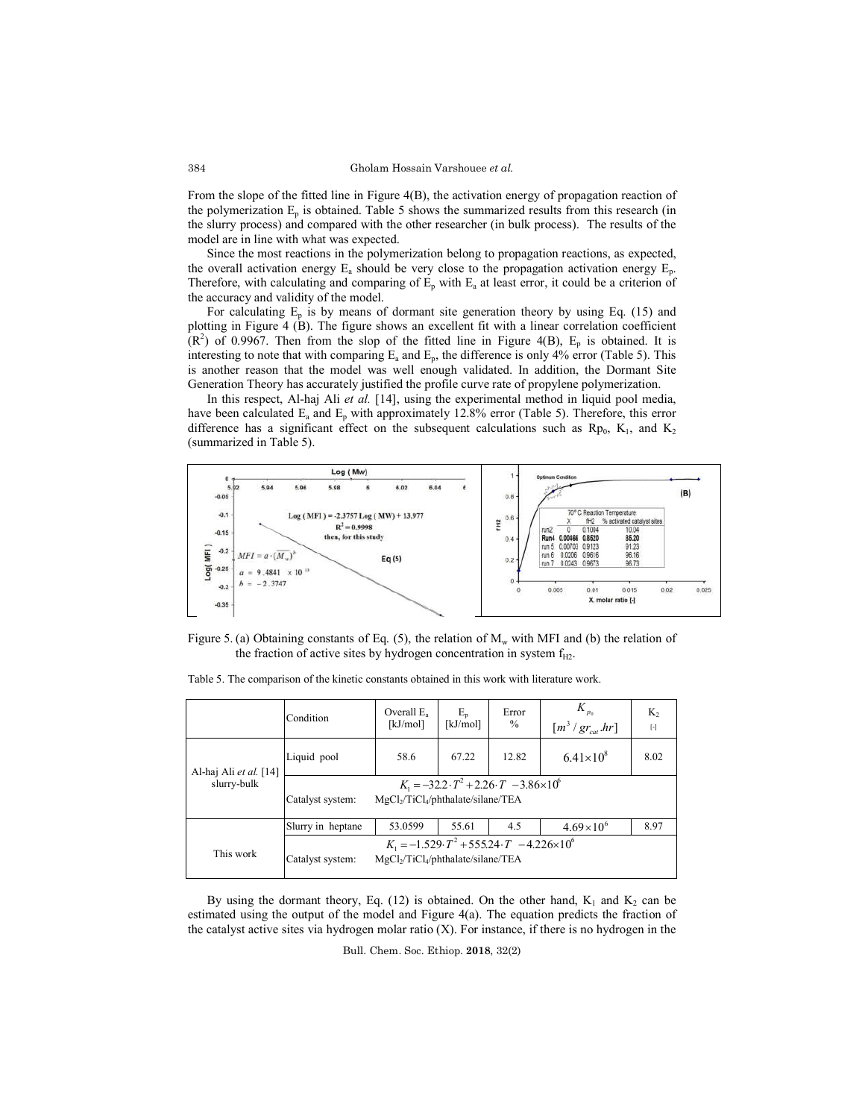From the slope of the fitted line in Figure 4(B), the activation energy of propagation reaction of the polymerization  $E_p$  is obtained. Table 5 shows the summarized results from this research (in the slurry process) and compared with the other researcher (in bulk process). The results of the model are in line with what was expected.

Since the most reactions in the polymerization belong to propagation reactions, as expected, the overall activation energy  $E_a$  should be very close to the propagation activation energy  $E_b$ . Therefore, with calculating and comparing of  $E_p$  with  $E_a$  at least error, it could be a criterion of the accuracy and validity of the model.

For calculating  $E_p$  is by means of dormant site generation theory by using Eq. (15) and plotting in Figure 4 (B). The figure shows an excellent fit with a linear correlation coefficient  $(R<sup>2</sup>)$  of 0.9967. Then from the slop of the fitted line in Figure 4(B), E<sub>p</sub> is obtained. It is interesting to note that with comparing  $E_a$  and  $E_p$ , the difference is only 4% error (Table 5). This is another reason that the model was well enough validated. In addition, the Dormant Site Generation Theory has accurately justified the profile curve rate of propylene polymerization.

In this respect, Al-haj Ali *et al.* [14], using the experimental method in liquid pool media, have been calculated  $E_a$  and  $E_p$  with approximately 12.8% error (Table 5). Therefore, this error difference has a significant effect on the subsequent calculations such as  $Rp_0$ ,  $K_1$ , and  $K_2$ (summarized in Table 5).



Figure 5. (a) Obtaining constants of Eq. (5), the relation of  $M_w$  with MFI and (b) the relation of the fraction of active sites by hydrogen concentration in system  $f_{H2}$ .

|                                       | Condition                                                                                                                                       | Overall $E_a$<br>[kJ/mol] | $E_{p}$<br>[kJ/mol] | Error<br>$\frac{0}{0}$ | $K_{p_0}$<br>$[m^3/gr_{cat}.hr]$ | $K_2$<br>$[ - ]$ |  |  |  |
|---------------------------------------|-------------------------------------------------------------------------------------------------------------------------------------------------|---------------------------|---------------------|------------------------|----------------------------------|------------------|--|--|--|
| Al-haj Ali et al. [14]<br>slurry-bulk | Liquid pool                                                                                                                                     | 58.6                      | 67.22               | 12.82                  | $6.41\times10^{8}$               | 8.02             |  |  |  |
|                                       | $K_1 = -32.2 \cdot T^2 + 2.26 \cdot T - 3.86 \times 10^6$<br>MgCl <sub>2</sub> /TiCl <sub>4</sub> /phthalate/silane/TEA<br>Catalyst system:     |                           |                     |                        |                                  |                  |  |  |  |
|                                       | Slurry in heptane                                                                                                                               | 53.0599                   | 55.61               | 4.5                    | $4.69\times10^{6}$               | 8.97             |  |  |  |
| This work                             | $K_1 = -1.529 \cdot T^2 + 555.24 \cdot T - 4.226 \times 10^6$<br>MgCl <sub>2</sub> /TiCl <sub>4</sub> /phthalate/silane/TEA<br>Catalyst system: |                           |                     |                        |                                  |                  |  |  |  |

Table 5. The comparison of the kinetic constants obtained in this work with literature work.

By using the dormant theory, Eq. (12) is obtained. On the other hand,  $K_1$  and  $K_2$  can be estimated using the output of the model and Figure 4(a). The equation predicts the fraction of the catalyst active sites via hydrogen molar ratio (X). For instance, if there is no hydrogen in the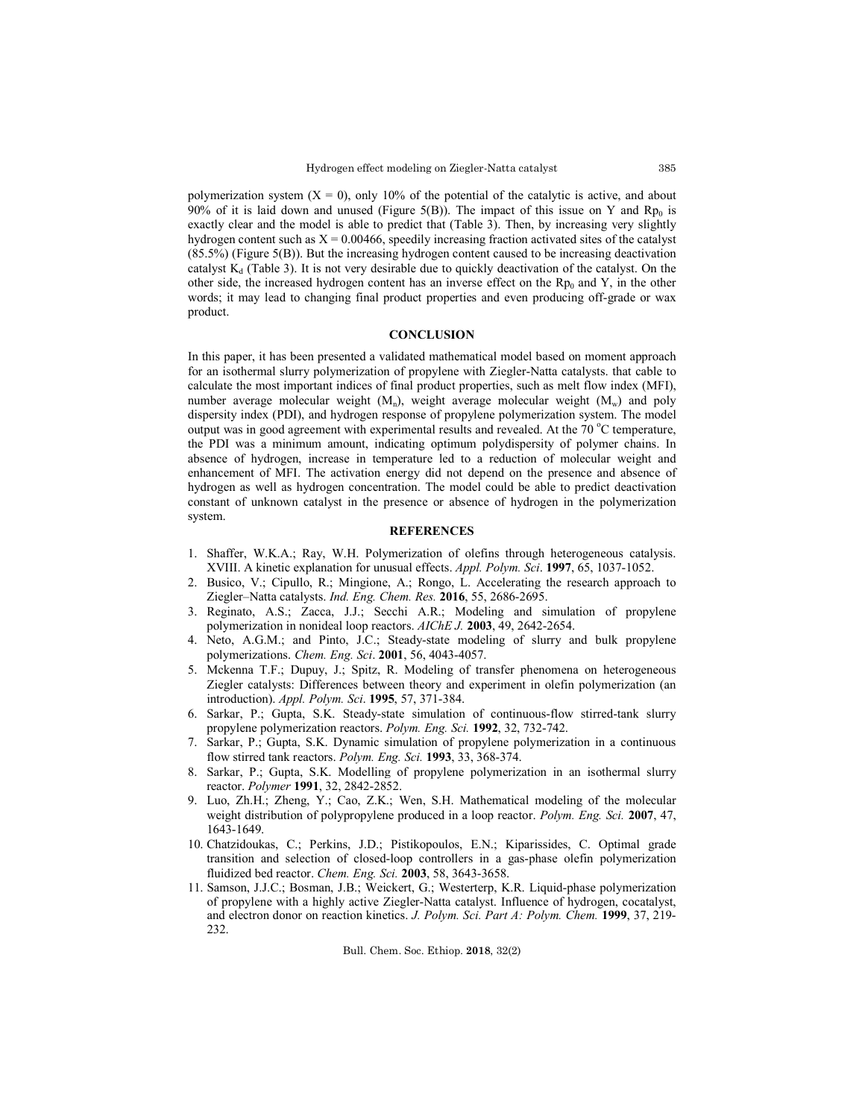polymerization system  $(X = 0)$ , only 10% of the potential of the catalytic is active, and about 90% of it is laid down and unused (Figure 5(B)). The impact of this issue on Y and Rp<sub>0</sub> is exactly clear and the model is able to predict that (Table 3). Then, by increasing very slightly hydrogen content such as  $X = 0.00466$ , speedily increasing fraction activated sites of the catalyst  $(85.5%)$  (Figure  $5(B)$ ). But the increasing hydrogen content caused to be increasing deactivation catalyst  $K_d$  (Table 3). It is not very desirable due to quickly deactivation of the catalyst. On the other side, the increased hydrogen content has an inverse effect on the  $Rp_0$  and Y, in the other words; it may lead to changing final product properties and even producing off-grade or wax product.

### **CONCLUSION**

In this paper, it has been presented a validated mathematical model based on moment approach for an isothermal slurry polymerization of propylene with Ziegler-Natta catalysts. that cable to calculate the most important indices of final product properties, such as melt flow index (MFI), number average molecular weight  $(M_n)$ , weight average molecular weight  $(M_w)$  and poly dispersity index (PDI), and hydrogen response of propylene polymerization system. The model output was in good agreement with experimental results and revealed. At the 70 °C temperature, the PDI was a minimum amount, indicating optimum polydispersity of polymer chains. In absence of hydrogen, increase in temperature led to a reduction of molecular weight and enhancement of MFI. The activation energy did not depend on the presence and absence of hydrogen as well as hydrogen concentration. The model could be able to predict deactivation constant of unknown catalyst in the presence or absence of hydrogen in the polymerization system.

## **REFERENCES**

- 1. Shaffer, W.K.A.; Ray, W.H. Polymerization of olefins through heterogeneous catalysis. XVIII. A kinetic explanation for unusual effects. *Appl. Polym. Sci*. **1997**, 65, 1037-1052.
- 2. Busico, V.; Cipullo, R.; Mingione, A.; Rongo, L. Accelerating the research approach to Ziegler–Natta catalysts. *Ind. Eng. Chem. Res.* **2016**, 55, 2686-2695.
- 3. Reginato, A.S.; Zacca, J.J.; Secchi A.R.; Modeling and simulation of propylene polymerization in nonideal loop reactors. *AIChE J.* **2003**, 49, 2642-2654.
- 4. Neto, A.G.M.; and Pinto, J.C.; Steady-state modeling of slurry and bulk propylene polymerizations. *Chem. Eng. Sci*. **2001**, 56, 4043-4057.
- 5. Mckenna T.F.; Dupuy, J.; Spitz, R. Modeling of transfer phenomena on heterogeneous Ziegler catalysts: Differences between theory and experiment in olefin polymerization (an introduction). *Appl. Polym. Sci*. **1995**, 57, 371-384.
- 6. Sarkar, P.; Gupta, S.K. Steady-state simulation of continuous-flow stirred-tank slurry propylene polymerization reactors. *Polym. Eng. Sci.* **1992**, 32, 732-742.
- 7. Sarkar, P.; Gupta, S.K. Dynamic simulation of propylene polymerization in a continuous flow stirred tank reactors. *Polym. Eng. Sci.* **1993**, 33, 368-374.
- 8. Sarkar, P.; Gupta, S.K. Modelling of propylene polymerization in an isothermal slurry reactor. *Polymer* **1991**, 32, 2842-2852.
- 9. Luo, Zh.H.; Zheng, Y.; Cao, Z.K.; Wen, S.H. Mathematical modeling of the molecular weight distribution of polypropylene produced in a loop reactor. *Polym. Eng. Sci.* **2007**, 47, 1643-1649.
- 10. Chatzidoukas, C.; Perkins, J.D.; Pistikopoulos, E.N.; Kiparissides, C. Optimal grade transition and selection of closed-loop controllers in a gas-phase olefin polymerization fluidized bed reactor. *Chem. Eng. Sci.* **2003**, 58, 3643-3658.
- 11. Samson, J.J.C.; Bosman, J.B.; Weickert, G.; Westerterp, K.R. Liquid-phase polymerization of propylene with a highly active Ziegler-Natta catalyst. Influence of hydrogen, cocatalyst, and electron donor on reaction kinetics. *J. Polym. Sci. Part A: Polym. Chem.* **1999**, 37, 219- 232.